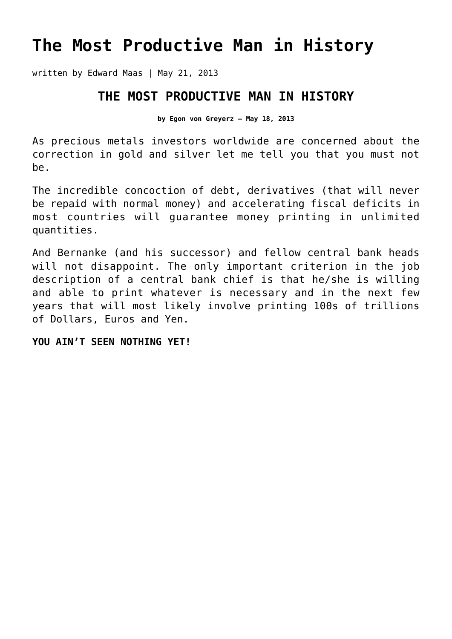## **[The Most Productive Man in History](https://goldswitzerland.com/the-most-productive-man-in-history/)**

written by Edward Maas | May 21, 2013

## **THE MOST PRODUCTIVE MAN IN HISTORY**

**by Egon von Greyerz – May 18, 2013**

As precious metals investors worldwide are concerned about the correction in gold and silver let me tell you that you must not be.

The incredible concoction of debt, derivatives (that will never be repaid with normal money) and accelerating fiscal deficits in most countries will guarantee money printing in unlimited quantities.

And Bernanke (and his successor) and fellow central bank heads will not disappoint. The only important criterion in the job description of a central bank chief is that he/she is willing and able to print whatever is necessary and in the next few years that will most likely involve printing 100s of trillions of Dollars, Euros and Yen.

## **YOU AIN'T SEEN NOTHING YET!**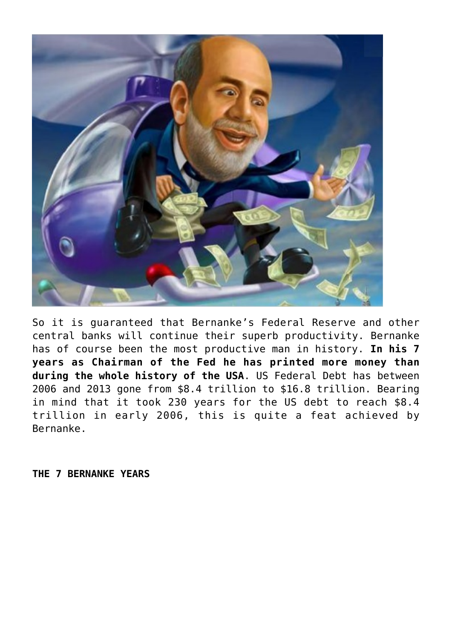

So it is guaranteed that Bernanke's Federal Reserve and other central banks will continue their superb productivity. Bernanke has of course been the most productive man in history. **In his 7 years as Chairman of the Fed he has printed more money than during the whole history of the USA**. US Federal Debt has between 2006 and 2013 gone from \$8.4 trillion to \$16.8 trillion. Bearing in mind that it took 230 years for the US debt to reach \$8.4 trillion in early 2006, this is quite a feat achieved by Bernanke.

**THE 7 BERNANKE YEARS**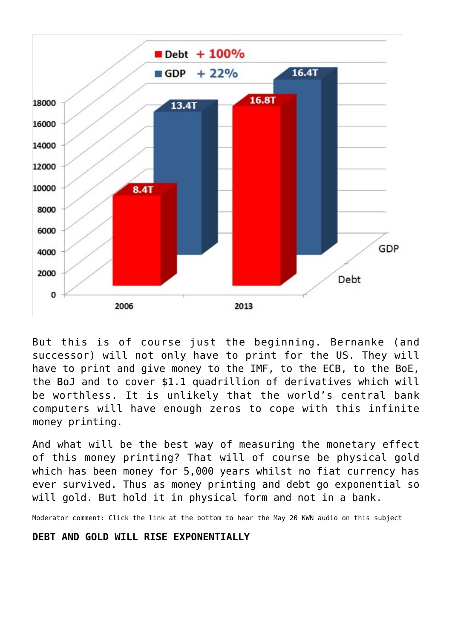

But this is of course just the beginning. Bernanke (and successor) will not only have to print for the US. They will have to print and give money to the IMF, to the ECB, to the BoE, the BoJ and to cover \$1.1 quadrillion of derivatives which will be worthless. It is unlikely that the world's central bank computers will have enough zeros to cope with this infinite money printing.

And what will be the best way of measuring the monetary effect of this money printing? That will of course be physical gold which has been money for 5,000 years whilst no fiat currency has ever survived. Thus as money printing and debt go exponential so will gold. But hold it in physical form and not in a bank.

Moderator comment: Click the link at the bottom to hear the May 20 KWN audio on this subject

## **DEBT AND GOLD WILL RISE EXPONENTIALLY**